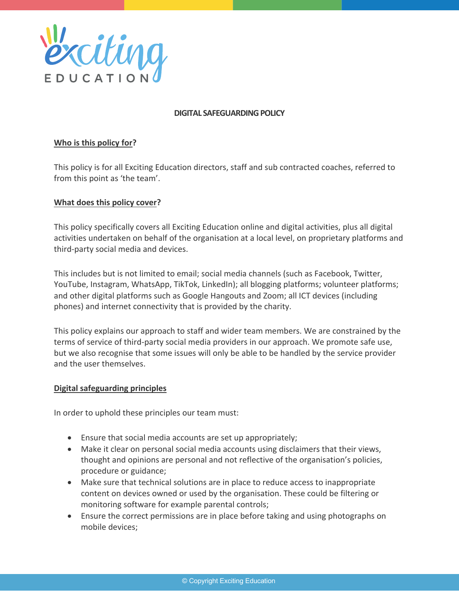

#### **DIGITAL SAFEGUARDING POLICY**

## **Who is this policy for?**

This policy is for all Exciting Education directors, staff and sub contracted coaches, referred to from this point as 'the team'.

#### **What does this policy cover?**

This policy specifically covers all Exciting Education online and digital activities, plus all digital activities undertaken on behalf of the organisation at a local level, on proprietary platforms and third-party social media and devices.

This includes but is not limited to email; social media channels (such as Facebook, Twitter, YouTube, Instagram, WhatsApp, TikTok, LinkedIn); all blogging platforms; volunteer platforms; and other digital platforms such as Google Hangouts and Zoom; all ICT devices (including phones) and internet connectivity that is provided by the charity.

This policy explains our approach to staff and wider team members. We are constrained by the terms of service of third-party social media providers in our approach. We promote safe use, but we also recognise that some issues will only be able to be handled by the service provider and the user themselves.

#### **Digital safeguarding principles**

In order to uphold these principles our team must:

- Ensure that social media accounts are set up appropriately;
- Make it clear on personal social media accounts using disclaimers that their views, thought and opinions are personal and not reflective of the organisation's policies, procedure or guidance;
- Make sure that technical solutions are in place to reduce access to inappropriate content on devices owned or used by the organisation. These could be filtering or monitoring software for example parental controls;
- Ensure the correct permissions are in place before taking and using photographs on mobile devices;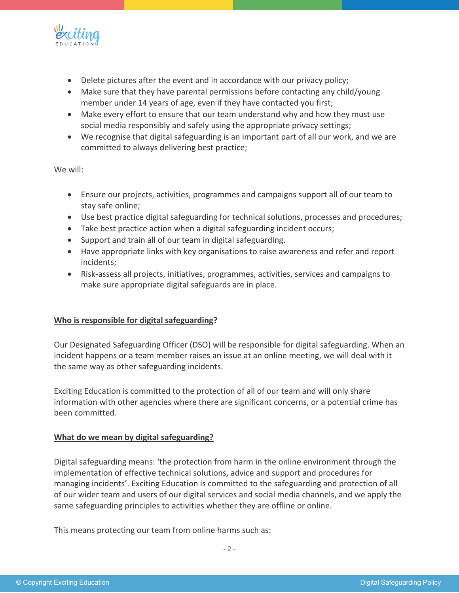

- Delete pictures after the event and in accordance with our privacy policy;
- Make sure that they have parental permissions before contacting any child/young member under 14 years of age, even if they have contacted you first;
- Make every effort to ensure that our team understand why and how they must use social media responsibly and safely using the appropriate privacy settings;
- We recognise that digital safeguarding is an important part of all our work, and we are committed to always delivering best practice;

We will:

- Ensure our projects, activities, programmes and campaigns support all of our team to stay safe online;
- Use best practice digital safeguarding for technical solutions, processes and procedures;
- Take best practice action when a digital safeguarding incident occurs;
- Support and train all of our team in digital safeguarding.
- Have appropriate links with key organisations to raise awareness and refer and report incidents;
- Risk-assess all projects, initiatives, programmes, activities, services and campaigns to make sure appropriate digital safeguards are in place.

## **Who is responsible for digital safeguarding?**

Our Designated Safeguarding Officer (DSO) will be responsible for digital safeguarding. When an incident happens or a team member raises an issue at an online meeting, we will deal with it the same way as other safeguarding incidents.

Exciting Education is committed to the protection of all of our team and will only share information with other agencies where there are significant concerns, or a potential crime has been committed.

#### **What do we mean by digital safeguarding?**

Digital safeguarding means: 'the protection from harm in the online environment through the implementation of effective technical solutions, advice and support and procedures for managing incidents'. Exciting Education is committed to the safeguarding and protection of all of our wider team and users of our digital services and social media channels, and we apply the same safeguarding principles to activities whether they are offline or online.

This means protecting our team from online harms such as: